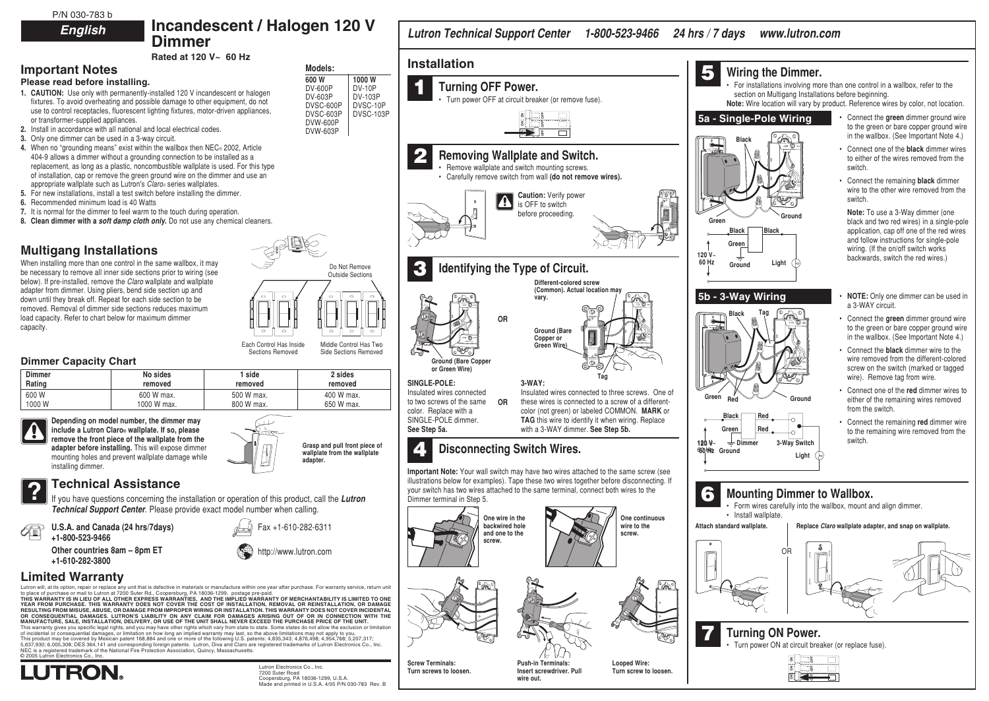P/N 030-783 b **English**

# **Incandescent / Halogen 120 V**

**Rated at 120 V~ 60 Hz**

**Dimmer**

### **Important Notes Please read before installing.**

- **1. CAUTION:** Use only with permanently-installed 120 V incandescent or halogen fixtures. To avoid overheating and possible damage to other equipment, do not use to control receptacles, fluorescent lighting fixtures, motor-driven appliances, or transformer-supplied appliances.
- **2.** Install in accordance with all national and local electrical codes.
- **3.** Only one dimmer can be used in a 3-way circuit.
- **4.** When no "grounding means" exist within the wallbox then NEC® 2002, Article 404-9 allows a dimmer without a grounding connection to be installed as a replacement, as long as a plastic, noncombustible wallplate is used. For this type of installation, cap or remove the green ground wire on the dimmer and use an appropriate wallplate such as Lutron's Claro® series wallplates.
- **5.** For new installations, install a test switch before installing the dimmer.
- **6.** Recommended minimum load is 40 Watts
- **7.** It is normal for the dimmer to feel warm to the touch during operation.
- **8. Clean dimmer with a soft damp cloth only.** Do not use any chemical cleaners.

# **Multigang Installations**

When installing more than one control in the same wallbox, it may be necessary to remove all inner side sections prior to wiring (see below). If pre-installed, remove the Claro wallplate and wallplate adapter from dimmer. Using pliers, bend side section up and down until they break off. Repeat for each side section to be removed. Removal of dimmer side sections reduces maximum load capacity. Refer to chart below for maximum dimmer capacity.



### **Dimmer Capacity Chart**

| <b>Dimmer</b> | No sides    | 1 side     | 2 sides    |
|---------------|-------------|------------|------------|
| Rating        | removed     | removed    | removed    |
| 600W          | 600 W max.  | 500 W max. | 400 W max. |
| 1000W         | 1000 W max. | 800 W max. | 650 W max. |

**Depending on model number, the dimmer may include a Lutron Claro® wallplate. If so, please remove the front piece of the wallplate from the adapter before installing.** This will expose dimmer mounting holes and prevent wallplate damage while installing dimmer.

**Technical Assistance**<br>If you have questions concerning the installation or operation of this production **Technical Support Center**. Please provide exact model number when call

不 **U.S.A. and Canada (24 hrs/7days) +1-800-523-9466**

> **Other countries 8am – 8pm ET +1-610-282-3800**

## **Limited Warranty**

Lutron will, at its option, repair or replace any unit that is defective in materials or manufacture within one year after purcha

to place of purchase or mail to Lutron at 7200 Surer Rd., Coopersburg, PA 18036-1299, postage pre-paid.<br>THIS WARRANTY IS IN LIEU OF ALL OTHER EXPRESS WARRANTIES, AND THE IMPLIED WARRANTY OF MERCHANTABILITY IS LIMITED TO ON OR CONSEQUENTIAL DAMAGES. LUTRON'S LIABILITY ON ANY CLAIM FOR DAMAGES ARISING OUT OF OR IN CONNECTION WITH THE<br>MANUFACTURE, SALE, INSTALLATION, DELIVERY, OR USE OF THE UNIT SHALL NEVER EXCEED THE PURCHASE PRICE OF THE UNIT

This warranty gives you specific legal rights, and you may have other rights which vary from state to state. Some states do of incidental or consequential damages, or limitation on how long an implied warranty may last, so the above limitations This product may be covered by Mexican patent 168,884 and one or more of the following U.S. patents: 4,835,343; 4,87 1637,930; 6,005,308; DES 364,141 and corresponding foreign patents. Lutron, Diva and Claro are registered trademarks of Lutron Electronics Co., Inc., Inc., Inc., Inc., Inc., Inc., Inc., Inc., Inc., Inc., Inc., Inc., Inc., NEC is a registered trademark of the National Fire Protection Association, Quincy, Massachusetts. © 2005 Lutron Electronics Co., Inc.

| דו ווטשטוויז ו                                                                                                                                                                                                                                                                                       | Lutron Technical Support Center 1-800-523-9466 24 hrs / 7 days                                                                                                                                                                                                                                                                                   | www.lutron.com                                                                                                                                                                                                                                                                                                   |
|------------------------------------------------------------------------------------------------------------------------------------------------------------------------------------------------------------------------------------------------------------------------------------------------------|--------------------------------------------------------------------------------------------------------------------------------------------------------------------------------------------------------------------------------------------------------------------------------------------------------------------------------------------------|------------------------------------------------------------------------------------------------------------------------------------------------------------------------------------------------------------------------------------------------------------------------------------------------------------------|
| Models:                                                                                                                                                                                                                                                                                              | <b>Installation</b>                                                                                                                                                                                                                                                                                                                              | 5<br>Wiring the Dimmer.                                                                                                                                                                                                                                                                                          |
| 600 W<br>1000W<br><b>DV-600P</b><br><b>DV-10P</b><br>ogen<br>DV-603P<br>DV-103P<br>not<br>DVSC-10P<br>DVSC-600P                                                                                                                                                                                      | 1<br><b>Turning OFF Power.</b><br>Turn power OFF at circuit breaker (or remove fuse).                                                                                                                                                                                                                                                            | For installations involving more than one control in a wallbox, refer to the<br>section on Multigang Installations before beginning.<br>Note: Wire location will vary by product. Reference wires by color, not location.                                                                                        |
| nces,<br>DVSC-603P<br>DVSC-103P<br><b>DVW-600P</b><br>DVW-603P                                                                                                                                                                                                                                       |                                                                                                                                                                                                                                                                                                                                                  | 5a - Single-Pole Wiring<br>Connect the green dimmer ground wire<br>to the green or bare copper ground wire<br>in the wallbox. (See Important Note 4.)<br><b>Black</b>                                                                                                                                            |
| lе<br>s type                                                                                                                                                                                                                                                                                         | 2<br>Removing Wallplate and Switch.<br>Remove wallplate and switch mounting screws.                                                                                                                                                                                                                                                              | • Connect one of the <b>black</b> dimmer wires<br>to either of the wires removed from the<br>switch.                                                                                                                                                                                                             |
| e an                                                                                                                                                                                                                                                                                                 | • Carefully remove switch from wall (do not remove wires).<br><b>Caution: Verify power</b><br>$\blacktriangle$<br>is OFF to switch                                                                                                                                                                                                               | Connect the remaining <b>black</b> dimmer<br>wire to the other wire removed from the<br>switch.                                                                                                                                                                                                                  |
| iners.                                                                                                                                                                                                                                                                                               | before proceeding.                                                                                                                                                                                                                                                                                                                               | Note: To use a 3-Way dimmer (one<br>Ground<br>Green<br>black and two red wires) in a single-pole<br><b>Black</b><br>Black<br>application, cap off one of the red wires<br>and follow instructions for single-pole<br>Green<br>wiring. (If the on/off switch works<br>120 V~<br>backwards, switch the red wires.) |
| Do Not Remove<br><b>Outside Sections</b>                                                                                                                                                                                                                                                             | Identifying the Type of Circuit.<br>Different-colored screw                                                                                                                                                                                                                                                                                      | 60 Hz<br>Light<br>Ground                                                                                                                                                                                                                                                                                         |
| $\hfill \Box$                                                                                                                                                                                                                                                                                        | (Common). Actual location may<br>vary.<br>ത                                                                                                                                                                                                                                                                                                      | 5b - 3-Way Wiring<br><b>NOTE:</b> Only one dimmer can be used in<br>a 3-WAY circuit.                                                                                                                                                                                                                             |
| $\circ$<br>Control Has Inside<br>Middle Control Has Two                                                                                                                                                                                                                                              | <b>OR</b><br>Ground (Bare<br>Copper or<br>Green Wire)                                                                                                                                                                                                                                                                                            | <b>Black</b><br>• Connect the green dimmer ground wire<br>to the green or bare copper ground wire<br>in the wallbox. (See Important Note 4.)                                                                                                                                                                     |
| ctions Removed<br>Side Sections Removed<br>2 sides                                                                                                                                                                                                                                                   | Ground (Bare Copper<br>or Green Wire)                                                                                                                                                                                                                                                                                                            | Connect the <b>black</b> dimmer wire to the<br>wire removed from the different-colored<br>screw on the switch (marked or tagged<br>wire). Remove tag from wire.                                                                                                                                                  |
| removed<br>ed<br>400 W max.<br>nax.<br>650 W max.<br>nax.                                                                                                                                                                                                                                            | SINGLE-POLE:<br>$3-WAY$ :<br>Insulated wires connected<br>Insulated wires connected to three screws. One of<br>to two screws of the same<br>these wires is connected to a screw of a different-<br><b>OR</b><br>color. Replace with a<br>color (not green) or labeled COMMON. MARK or                                                            | • Connect one of the red dimmer wires to<br>Green<br>Red<br>Ground<br>either of the remaining wires removed<br>from the switch.                                                                                                                                                                                  |
| Grasp and pull front piece of                                                                                                                                                                                                                                                                        | SINGLE-POLE dimmer.<br>TAG this wire to identify it when wiring. Replace<br>with a 3-WAY dimmer. See Step 5b.<br>See Step 5a.                                                                                                                                                                                                                    | Black<br>Red<br>Ö<br>• Connect the remaining red dimmer wire<br>Red<br>Green<br>to the remaining wire removed from the<br>O<br>switch.<br>$\frac{1}{2}$ Dimmer<br>3-Way Switch<br>120 V~                                                                                                                         |
| wallplate from the wallplate<br>adapter.                                                                                                                                                                                                                                                             | <b>Disconnecting Switch Wires.</b>                                                                                                                                                                                                                                                                                                               | 660 Hz Ground<br>Light $(\circ)$                                                                                                                                                                                                                                                                                 |
| n of this product, call the Lutron<br>mber when calling.                                                                                                                                                                                                                                             | <b>Important Note:</b> Your wall switch may have two wires attached to the same screw (see<br>illustrations below for examples). Tape these two wires together before disconnecting. If<br>your switch has two wires attached to the same terminal, connect both wires to the<br>Dimmer terminal in Step 5.<br>One continuous<br>One wire in the | 6<br><b>Mounting Dimmer to Wallbox.</b><br>• Form wires carefully into the wallbox, mount and align dimmer.<br>• Install wallplate.                                                                                                                                                                              |
| Fax +1-610-282-6311                                                                                                                                                                                                                                                                                  | backwired hole<br>wire to the<br>and one to the<br>screw.<br>screw.                                                                                                                                                                                                                                                                              | Attach standard wallplate.<br>Replace Claro wallplate adapter, and snap on wallplate.                                                                                                                                                                                                                            |
| http://www.lutron.com                                                                                                                                                                                                                                                                                |                                                                                                                                                                                                                                                                                                                                                  | OR                                                                                                                                                                                                                                                                                                               |
| one year after purchase. For warranty service, return unit<br>e-paid.<br>RRANTY OF MERCHANTABILITY IS LIMITED TO ONE<br>ION, REMOVAL OR REINSTALLATION, OR DAMAGE<br>ON. THIS WARRANTY DOES NOT COVER INCIDENTAL<br>ARISING OUT OF OR IN CONNECTION WITH THE<br>CEED THE PURCHASE PRICE OF THE UNIT. | <u>a </u>                                                                                                                                                                                                                                                                                                                                        |                                                                                                                                                                                                                                                                                                                  |
| state. Some states do not allow the exclusion or limitation<br>he above limitations may not apply to you.<br>ents: 4,835,343; 4,876,498; 4,954,768; 5,207,317;<br>registered trademarks of Lutron Electronics Co., Inc.                                                                              |                                                                                                                                                                                                                                                                                                                                                  | <b>Turning ON Power.</b><br>Turn power ON at circuit breaker (or replace fuse).<br>afrsomen                                                                                                                                                                                                                      |



Lutron Electronics Co., Inc. 7200 Suter Road Coopersburg, PA 18036-1299, U.S.A. Made and printed in U.S.A. 4/05 P/N 030-783 Rev. B **Screw Terminals: Turn screws to loosen.**

**Push-in Terminals: Insert screwdriver. Pull**

**wire out.**

**Looped Wire: Turn screw to loosen.**